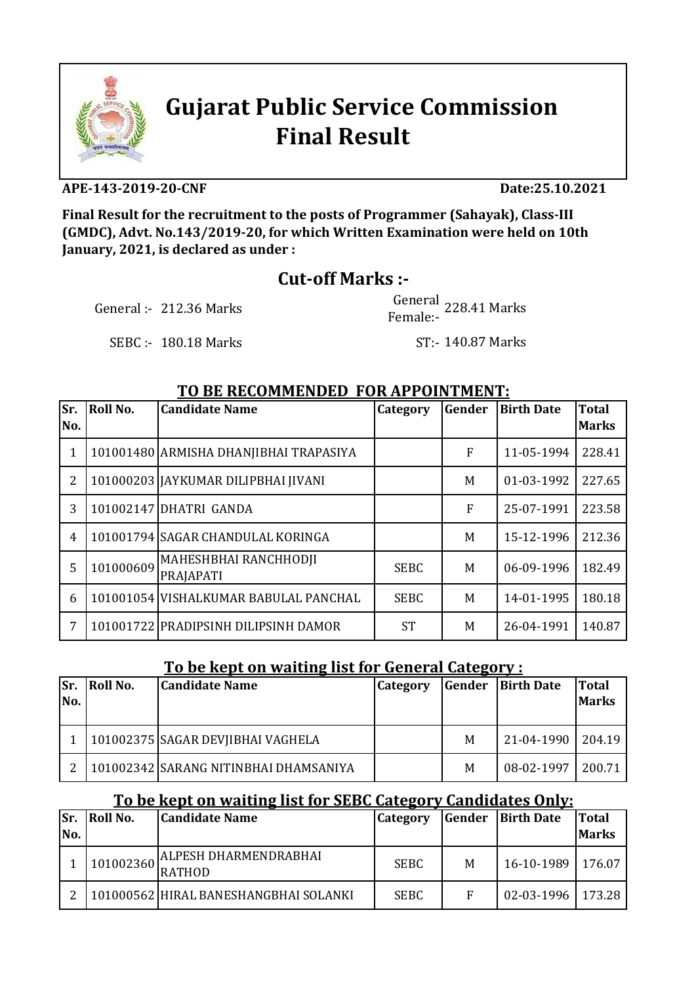

# **Gujarat Public Service Commission Final Result**

#### **APE-143-2019-20-CNF Date:25.10.2021**

**Final Result for the recruitment to the posts of Programmer (Sahayak), Class-III (GMDC), Advt. No.143/2019-20, for which Written Examination were held on 10th January, 2021, is declared as under :**

## **Cut-off Marks :-**

General :-  $212.36$  Marks

 Female:- General 228.41 Marks

SEBC :- 180.18 Marks

ST:- 140.87 Marks

#### **TO BE RECOMMENDED FOR APPOINTMENT:**

| Sr.<br>No.     | <b>Roll No.</b> | <b>Candidate Name</b>                  | Category    | Gender | <b>Birth Date</b> | <b>Total</b><br><b>Marks</b> |
|----------------|-----------------|----------------------------------------|-------------|--------|-------------------|------------------------------|
|                |                 |                                        |             |        |                   |                              |
| 1              |                 | 101001480 ARMISHA DHANJIBHAI TRAPASIYA |             | F      | 11-05-1994        | 228.41                       |
| $\overline{2}$ |                 | 101000203   JAYKUMAR DILIPBHAI JIVANI  |             | M      | 01-03-1992        | 227.65                       |
| 3              |                 | 101002147 DHATRI GANDA                 |             | F      | 25-07-1991        | 223.58                       |
| 4              |                 | 101001794 SAGAR CHANDULAL KORINGA      |             | М      | 15-12-1996        | 212.36                       |
| 5              | 101000609       | MAHESHBHAI RANCHHODJI<br>PRAJAPATI     | <b>SEBC</b> | M      | 06-09-1996        | 182.49                       |
| 6              |                 | 101001054 VISHALKUMAR BABULAL PANCHAL  | <b>SEBC</b> | M      | 14-01-1995        | 180.18                       |
| 7              |                 | 101001722 PRADIPSINH DILIPSINH DAMOR   | <b>ST</b>   | M      | 26-04-1991        | 140.87                       |

#### **To be kept on waiting list for General Category :**

| lSr.<br>INo. | Roll No. | <b>Candidate Name</b>                 | Category | Gender | <b>Birth Date</b> | <b>Total</b><br><b>Marks</b> |
|--------------|----------|---------------------------------------|----------|--------|-------------------|------------------------------|
|              |          | 101002375 SAGAR DEVIIBHAI VAGHELA     |          | M      | $21 - 04 - 1990$  | 204.19                       |
|              |          | 101002342 SARANG NITINBHAI DHAMSANIYA |          | M      | 08-02-1997        | 200.71                       |

### **To be kept on waiting list for SEBC Category Candidates Only:**

| Sr.<br>No. | Roll No.  | <b>Candidate Name</b>                         | <b>Category</b> | Gender | <b>Birth Date</b>   | <b>Total</b><br><b>Marks</b> |
|------------|-----------|-----------------------------------------------|-----------------|--------|---------------------|------------------------------|
|            | 101002360 | <b>ALPESH DHARMENDRABHAI</b><br><b>RATHOD</b> | <b>SEBC</b>     | M      | 16-10-1989   176.07 |                              |
|            |           | 101000562  HIRAL BANESHANGBHAI SOLANKI        | <b>SEBC</b>     | F      | $02 - 03 - 1996$    | 173.28                       |